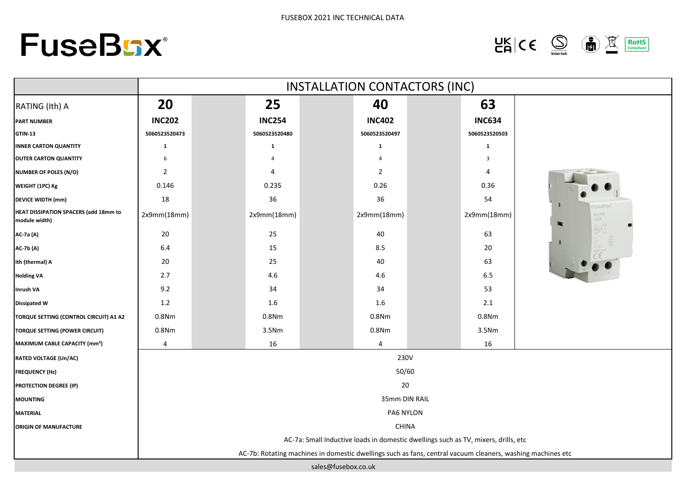



|                                                        | INSTALLATION CONTACTORS (INC) |               |               |                                                                                                            |                |  |               |            |  |
|--------------------------------------------------------|-------------------------------|---------------|---------------|------------------------------------------------------------------------------------------------------------|----------------|--|---------------|------------|--|
| RATING (Ith) A                                         | 20                            |               | 25            |                                                                                                            | 40             |  | 63            |            |  |
| <b>PART NUMBER</b>                                     | <b>INC202</b>                 |               | <b>INC254</b> |                                                                                                            | <b>INC402</b>  |  | <b>INC634</b> |            |  |
| <b>GTIN-13</b>                                         | 5060523520473                 |               | 5060523520480 |                                                                                                            | 5060523520497  |  | 5060523520503 |            |  |
| <b>INNER CARTON QUANTITY</b>                           | 1                             |               | 1             |                                                                                                            | 1              |  | $\mathbf{1}$  |            |  |
| <b>OUTER CARTON QUANTITY</b>                           | 6                             |               |               |                                                                                                            |                |  | 3             |            |  |
| <b>NUMBER OF POLES (N/O)</b>                           | $\overline{2}$                |               | 4             |                                                                                                            | $\overline{2}$ |  | 4             |            |  |
| WEIGHT (1PC) Kg                                        | 0.146                         |               | 0.235         |                                                                                                            | 0.26           |  | 0.36          |            |  |
| <b>DEVICE WIDTH (mm)</b>                               | 18                            |               | 36            |                                                                                                            | 36             |  | 54            |            |  |
| HEAT DISSIPATION SPACERS (add 18mm to<br>module width) | 2x9mm(18mm)                   |               | 2x9mm(18mm)   |                                                                                                            | 2x9mm(18mm)    |  | 2x9mm(18mm)   | <b>IOA</b> |  |
| AC-7a (A)                                              | 20                            |               | 25            |                                                                                                            | 40             |  | 63            |            |  |
| <b>AC-7b (A)</b>                                       | $6.4\,$                       |               | 15            |                                                                                                            | 8.5            |  | 20            |            |  |
| Ith (thermal) A                                        | $20\,$                        |               | 25            |                                                                                                            | 40             |  | 63            |            |  |
| <b>Holding VA</b>                                      | 2.7                           |               | 4.6           |                                                                                                            | 4.6            |  | $6.5\,$       |            |  |
| <b>Inrush VA</b>                                       | 9.2                           |               | 34            |                                                                                                            | 34             |  | 53            |            |  |
| <b>Dissipated W</b>                                    | 1.2                           |               | 1.6           |                                                                                                            | $1.6\,$        |  | $2.1\,$       |            |  |
| TORQUE SETTING (CONTROL CIRCUIT) A1 A2                 | 0.8Nm                         |               | 0.8Nm         |                                                                                                            | 0.8Nm          |  | 0.8Nm         |            |  |
| TORQUE SETTING (POWER CIRCUIT)                         | 0.8Nm                         |               | 3.5Nm         |                                                                                                            | 0.8Nm          |  | 3.5Nm         |            |  |
| MAXIMUM CABLE CAPACITY (mm <sup>2</sup> )              | 4                             |               | 16            |                                                                                                            | 4              |  | 16            |            |  |
| <b>RATED VOLTAGE (Un/AC)</b>                           |                               | 230V          |               |                                                                                                            |                |  |               |            |  |
| <b>FREQUENCY (Hz)</b>                                  | 50/60                         |               |               |                                                                                                            |                |  |               |            |  |
| <b>PROTECTION DEGREE (IP)</b>                          | 20                            |               |               |                                                                                                            |                |  |               |            |  |
| <b>MOUNTING</b>                                        |                               | 35mm DIN RAIL |               |                                                                                                            |                |  |               |            |  |
| <b>MATERIAL</b>                                        | PA6 NYLON                     |               |               |                                                                                                            |                |  |               |            |  |
| ORIGIN OF MANUFACTURE                                  |                               |               |               | <b>CHINA</b>                                                                                               |                |  |               |            |  |
|                                                        |                               |               |               | AC-7a: Small Inductive loads in domestic dwellings such as TV, mixers, drills, etc                         |                |  |               |            |  |
|                                                        |                               |               |               | AC-7b: Rotating machines in domestic dwellings such as fans, central vacuum cleaners, washing machines etc |                |  |               |            |  |
|                                                        |                               |               |               | sales@fusebox.co.uk                                                                                        |                |  |               |            |  |